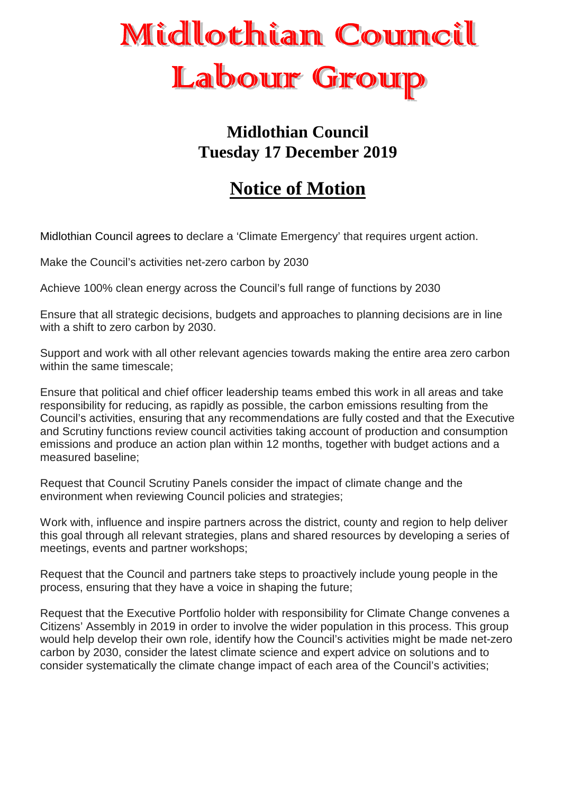

## **Midlothian Council Tuesday 17 December 2019**

## **Notice of Motion**

Midlothian Council agrees to declare a 'Climate Emergency' that requires urgent action.

Make the Council's activities net-zero carbon by 2030

Achieve 100% clean energy across the Council's full range of functions by 2030

Ensure that all strategic decisions, budgets and approaches to planning decisions are in line with a shift to zero carbon by 2030.

Support and work with all other relevant agencies towards making the entire area zero carbon within the same timescale;

Ensure that political and chief officer leadership teams embed this work in all areas and take responsibility for reducing, as rapidly as possible, the carbon emissions resulting from the Council's activities, ensuring that any recommendations are fully costed and that the Executive and Scrutiny functions review council activities taking account of production and consumption emissions and produce an action plan within 12 months, together with budget actions and a measured baseline;

Request that Council Scrutiny Panels consider the impact of climate change and the environment when reviewing Council policies and strategies;

Work with, influence and inspire partners across the district, county and region to help deliver this goal through all relevant strategies, plans and shared resources by developing a series of meetings, events and partner workshops;

Request that the Council and partners take steps to proactively include young people in the process, ensuring that they have a voice in shaping the future;

Request that the Executive Portfolio holder with responsibility for Climate Change convenes a Citizens' Assembly in 2019 in order to involve the wider population in this process. This group would help develop their own role, identify how the Council's activities might be made net-zero carbon by 2030, consider the latest climate science and expert advice on solutions and to consider systematically the climate change impact of each area of the Council's activities;